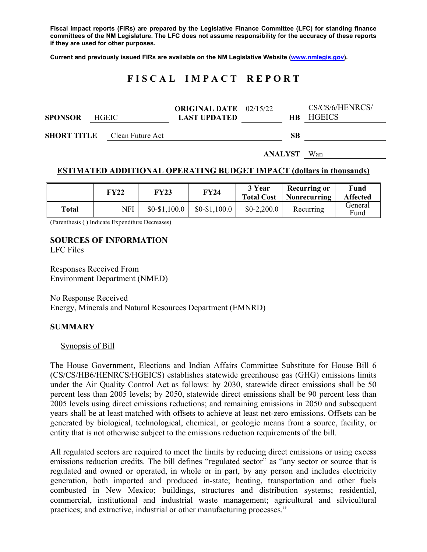**Fiscal impact reports (FIRs) are prepared by the Legislative Finance Committee (LFC) for standing finance committees of the NM Legislature. The LFC does not assume responsibility for the accuracy of these reports if they are used for other purposes.** 

**Current and previously issued FIRs are available on the NM Legislative Website (www.nmlegis.gov).** 

# **F I S C A L I M P A C T R E P O R T**

|                |              | <b>ORIGINAL DATE</b> 02/15/22 |     | CS/CS/6/HENRCS/ |
|----------------|--------------|-------------------------------|-----|-----------------|
| <b>SPONSOR</b> | <b>HGEIC</b> | <b>LAST UPDATED</b>           | HB. | HGEICS          |
|                |              |                               |     |                 |

**SHORT TITLE** Clean Future Act **SB** 

**ANALYST** Wan

#### **ESTIMATED ADDITIONAL OPERATING BUDGET IMPACT (dollars in thousands)**

|       | FY22 | FY23          | <b>FY24</b>   | 3 Year<br><b>Total Cost</b> | Recurring or<br>Nonrecurring | <b>Fund</b><br><b>Affected</b> |
|-------|------|---------------|---------------|-----------------------------|------------------------------|--------------------------------|
| Total | NFI  | $$0-$1,100.0$ | $$0-$1,100.0$ | $$0-2,200.0$                | Recurring                    | General<br>Fund                |

(Parenthesis ( ) Indicate Expenditure Decreases)

### **SOURCES OF INFORMATION**

LFC Files

Responses Received From Environment Department (NMED)

No Response Received Energy, Minerals and Natural Resources Department (EMNRD)

#### **SUMMARY**

#### Synopsis of Bill

The House Government, Elections and Indian Affairs Committee Substitute for House Bill 6 (CS/CS/HB6/HENRCS/HGEICS) establishes statewide greenhouse gas (GHG) emissions limits under the Air Quality Control Act as follows: by 2030, statewide direct emissions shall be 50 percent less than 2005 levels; by 2050, statewide direct emissions shall be 90 percent less than 2005 levels using direct emissions reductions; and remaining emissions in 2050 and subsequent years shall be at least matched with offsets to achieve at least net-zero emissions. Offsets can be generated by biological, technological, chemical, or geologic means from a source, facility, or entity that is not otherwise subject to the emissions reduction requirements of the bill.

All regulated sectors are required to meet the limits by reducing direct emissions or using excess emissions reduction credits. The bill defines "regulated sector" as "any sector or source that is regulated and owned or operated, in whole or in part, by any person and includes electricity generation, both imported and produced in-state; heating, transportation and other fuels combusted in New Mexico; buildings, structures and distribution systems; residential, commercial, institutional and industrial waste management; agricultural and silvicultural practices; and extractive, industrial or other manufacturing processes."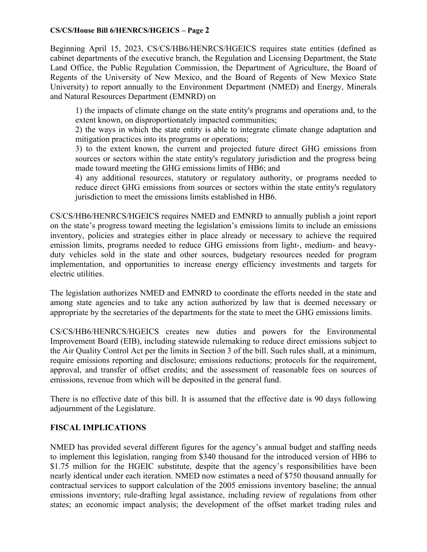## **CS/CS/House Bill 6/HENRCS/HGEICS – Page 2**

Beginning April 15, 2023, CS/CS/HB6/HENRCS/HGEICS requires state entities (defined as cabinet departments of the executive branch, the Regulation and Licensing Department, the State Land Office, the Public Regulation Commission, the Department of Agriculture, the Board of Regents of the University of New Mexico, and the Board of Regents of New Mexico State University) to report annually to the Environment Department (NMED) and Energy, Minerals and Natural Resources Department (EMNRD) on

1) the impacts of climate change on the state entity's programs and operations and, to the extent known, on disproportionately impacted communities;

2) the ways in which the state entity is able to integrate climate change adaptation and mitigation practices into its programs or operations;

3) to the extent known, the current and projected future direct GHG emissions from sources or sectors within the state entity's regulatory jurisdiction and the progress being made toward meeting the GHG emissions limits of HB6; and

4) any additional resources, statutory or regulatory authority, or programs needed to reduce direct GHG emissions from sources or sectors within the state entity's regulatory jurisdiction to meet the emissions limits established in HB6.

CS/CS/HB6/HENRCS/HGEICS requires NMED and EMNRD to annually publish a joint report on the state's progress toward meeting the legislation's emissions limits to include an emissions inventory, policies and strategies either in place already or necessary to achieve the required emission limits, programs needed to reduce GHG emissions from light-, medium- and heavyduty vehicles sold in the state and other sources, budgetary resources needed for program implementation, and opportunities to increase energy efficiency investments and targets for electric utilities.

The legislation authorizes NMED and EMNRD to coordinate the efforts needed in the state and among state agencies and to take any action authorized by law that is deemed necessary or appropriate by the secretaries of the departments for the state to meet the GHG emissions limits.

CS/CS/HB6/HENRCS/HGEICS creates new duties and powers for the Environmental Improvement Board (EIB), including statewide rulemaking to reduce direct emissions subject to the Air Quality Control Act per the limits in Section 3 of the bill. Such rules shall, at a minimum, require emissions reporting and disclosure; emissions reductions; protocols for the requirement, approval, and transfer of offset credits; and the assessment of reasonable fees on sources of emissions, revenue from which will be deposited in the general fund.

There is no effective date of this bill. It is assumed that the effective date is 90 days following adjournment of the Legislature.

# **FISCAL IMPLICATIONS**

NMED has provided several different figures for the agency's annual budget and staffing needs to implement this legislation, ranging from \$340 thousand for the introduced version of HB6 to \$1.75 million for the HGEIC substitute, despite that the agency's responsibilities have been nearly identical under each iteration. NMED now estimates a need of \$750 thousand annually for contractual services to support calculation of the 2005 emissions inventory baseline; the annual emissions inventory; rule-drafting legal assistance, including review of regulations from other states; an economic impact analysis; the development of the offset market trading rules and